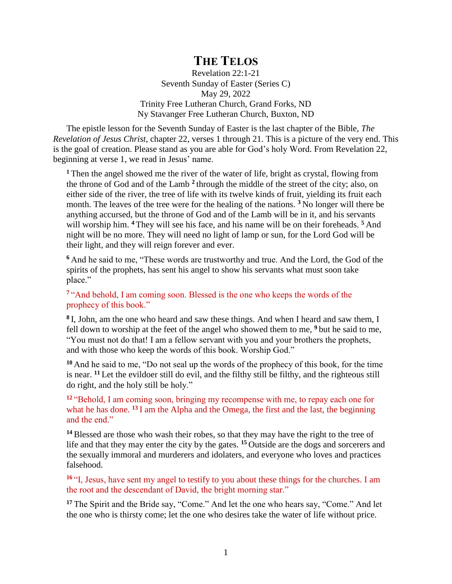## **THE TELOS**

Revelation 22:1-21 Seventh Sunday of Easter (Series C) May 29, 2022 Trinity Free Lutheran Church, Grand Forks, ND Ny Stavanger Free Lutheran Church, Buxton, ND

The epistle lesson for the Seventh Sunday of Easter is the last chapter of the Bible, *The Revelation of Jesus Christ*, chapter 22, verses 1 through 21. This is a picture of the very end. This is the goal of creation. Please stand as you are able for God's holy Word. From Revelation 22, beginning at verse 1, we read in Jesus' name.

**<sup>1</sup>** Then the angel showed me the river of the water of life, bright as crystal, flowing from the throne of God and of the Lamb **<sup>2</sup>** through the middle of the street of the city; also, on either side of the river, the tree of life with its twelve kinds of fruit, yielding its fruit each month. The leaves of the tree were for the healing of the nations. **<sup>3</sup>** No longer will there be anything accursed, but the throne of God and of the Lamb will be in it, and his servants will worship him. **<sup>4</sup>** They will see his face, and his name will be on their foreheads. **<sup>5</sup>** And night will be no more. They will need no light of lamp or sun, for the Lord God will be their light, and they will reign forever and ever.

**<sup>6</sup>** And he said to me, "These words are trustworthy and true. And the Lord, the God of the spirits of the prophets, has sent his angel to show his servants what must soon take place."

<sup>7</sup> "And behold, I am coming soon. Blessed is the one who keeps the words of the prophecy of this book."

**8** I, John, am the one who heard and saw these things. And when I heard and saw them, I fell down to worship at the feet of the angel who showed them to me, **<sup>9</sup>** but he said to me, "You must not do that! I am a fellow servant with you and your brothers the prophets, and with those who keep the words of this book. Worship God."

**<sup>10</sup>** And he said to me, "Do not seal up the words of the prophecy of this book, for the time is near. **<sup>11</sup>** Let the evildoer still do evil, and the filthy still be filthy, and the righteous still do right, and the holy still be holy."

**<sup>12</sup>** "Behold, I am coming soon, bringing my recompense with me, to repay each one for what he has done. <sup>13</sup> I am the Alpha and the Omega, the first and the last, the beginning and the end."

**<sup>14</sup>**Blessed are those who wash their robes, so that they may have the right to the tree of life and that they may enter the city by the gates. **<sup>15</sup>** Outside are the dogs and sorcerers and the sexually immoral and murderers and idolaters, and everyone who loves and practices falsehood.

**<sup>16</sup>** "I, Jesus, have sent my angel to testify to you about these things for the churches. I am the root and the descendant of David, the bright morning star."

**<sup>17</sup>** The Spirit and the Bride say, "Come." And let the one who hears say, "Come." And let the one who is thirsty come; let the one who desires take the water of life without price.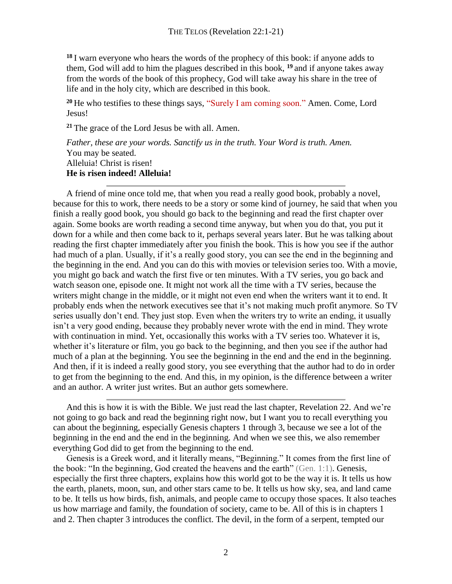**<sup>18</sup>** I warn everyone who hears the words of the prophecy of this book: if anyone adds to them, God will add to him the plagues described in this book, **<sup>19</sup>** and if anyone takes away from the words of the book of this prophecy, God will take away his share in the tree of life and in the holy city, which are described in this book.

**<sup>20</sup>** He who testifies to these things says, "Surely I am coming soon." Amen. Come, Lord Jesus!

**<sup>21</sup>** The grace of the Lord Jesus be with all. Amen.

*Father, these are your words. Sanctify us in the truth. Your Word is truth. Amen.* You may be seated. Alleluia! Christ is risen! **He is risen indeed! Alleluia!**

A friend of mine once told me, that when you read a really good book, probably a novel, because for this to work, there needs to be a story or some kind of journey, he said that when you finish a really good book, you should go back to the beginning and read the first chapter over again. Some books are worth reading a second time anyway, but when you do that, you put it down for a while and then come back to it, perhaps several years later. But he was talking about reading the first chapter immediately after you finish the book. This is how you see if the author had much of a plan. Usually, if it's a really good story, you can see the end in the beginning and the beginning in the end. And you can do this with movies or television series too. With a movie, you might go back and watch the first five or ten minutes. With a TV series, you go back and watch season one, episode one. It might not work all the time with a TV series, because the writers might change in the middle, or it might not even end when the writers want it to end. It probably ends when the network executives see that it's not making much profit anymore. So TV series usually don't end. They just stop. Even when the writers try to write an ending, it usually isn't a very good ending, because they probably never wrote with the end in mind. They wrote with continuation in mind. Yet, occasionally this works with a TV series too. Whatever it is, whether it's literature or film, you go back to the beginning, and then you see if the author had much of a plan at the beginning. You see the beginning in the end and the end in the beginning. And then, if it is indeed a really good story, you see everything that the author had to do in order to get from the beginning to the end. And this, in my opinion, is the difference between a writer and an author. A writer just writes. But an author gets somewhere.

And this is how it is with the Bible. We just read the last chapter, Revelation 22. And we're not going to go back and read the beginning right now, but I want you to recall everything you can about the beginning, especially Genesis chapters 1 through 3, because we see a lot of the beginning in the end and the end in the beginning. And when we see this, we also remember everything God did to get from the beginning to the end.

Genesis is a Greek word, and it literally means, "Beginning." It comes from the first line of the book: "In the beginning, God created the heavens and the earth" (Gen. 1:1). Genesis, especially the first three chapters, explains how this world got to be the way it is. It tells us how the earth, planets, moon, sun, and other stars came to be. It tells us how sky, sea, and land came to be. It tells us how birds, fish, animals, and people came to occupy those spaces. It also teaches us how marriage and family, the foundation of society, came to be. All of this is in chapters 1 and 2. Then chapter 3 introduces the conflict. The devil, in the form of a serpent, tempted our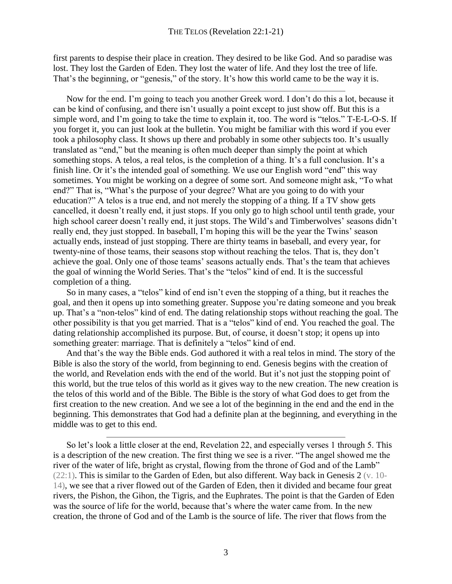first parents to despise their place in creation. They desired to be like God. And so paradise was lost. They lost the Garden of Eden. They lost the water of life. And they lost the tree of life. That's the beginning, or "genesis," of the story. It's how this world came to be the way it is.

Now for the end. I'm going to teach you another Greek word. I don't do this a lot, because it can be kind of confusing, and there isn't usually a point except to just show off. But this is a simple word, and I'm going to take the time to explain it, too. The word is "telos." T-E-L-O-S. If you forget it, you can just look at the bulletin. You might be familiar with this word if you ever took a philosophy class. It shows up there and probably in some other subjects too. It's usually translated as "end," but the meaning is often much deeper than simply the point at which something stops. A telos, a real telos, is the completion of a thing. It's a full conclusion. It's a finish line. Or it's the intended goal of something. We use our English word "end" this way sometimes. You might be working on a degree of some sort. And someone might ask, "To what end?" That is, "What's the purpose of your degree? What are you going to do with your education?" A telos is a true end, and not merely the stopping of a thing. If a TV show gets cancelled, it doesn't really end, it just stops. If you only go to high school until tenth grade, your high school career doesn't really end, it just stops. The Wild's and Timberwolves' seasons didn't really end, they just stopped. In baseball, I'm hoping this will be the year the Twins' season actually ends, instead of just stopping. There are thirty teams in baseball, and every year, for twenty-nine of those teams, their seasons stop without reaching the telos. That is, they don't achieve the goal. Only one of those teams' seasons actually ends. That's the team that achieves the goal of winning the World Series. That's the "telos" kind of end. It is the successful completion of a thing.

So in many cases, a "telos" kind of end isn't even the stopping of a thing, but it reaches the goal, and then it opens up into something greater. Suppose you're dating someone and you break up. That's a "non-telos" kind of end. The dating relationship stops without reaching the goal. The other possibility is that you get married. That is a "telos" kind of end. You reached the goal. The dating relationship accomplished its purpose. But, of course, it doesn't stop; it opens up into something greater: marriage. That is definitely a "telos" kind of end.

And that's the way the Bible ends. God authored it with a real telos in mind. The story of the Bible is also the story of the world, from beginning to end. Genesis begins with the creation of the world, and Revelation ends with the end of the world. But it's not just the stopping point of this world, but the true telos of this world as it gives way to the new creation. The new creation is the telos of this world and of the Bible. The Bible is the story of what God does to get from the first creation to the new creation. And we see a lot of the beginning in the end and the end in the beginning. This demonstrates that God had a definite plan at the beginning, and everything in the middle was to get to this end.

So let's look a little closer at the end, Revelation 22, and especially verses 1 through 5. This is a description of the new creation. The first thing we see is a river. "The angel showed me the river of the water of life, bright as crystal, flowing from the throne of God and of the Lamb" (22:1). This is similar to the Garden of Eden, but also different. Way back in Genesis 2 (v. 10- 14), we see that a river flowed out of the Garden of Eden, then it divided and became four great rivers, the Pishon, the Gihon, the Tigris, and the Euphrates. The point is that the Garden of Eden was the source of life for the world, because that's where the water came from. In the new creation, the throne of God and of the Lamb is the source of life. The river that flows from the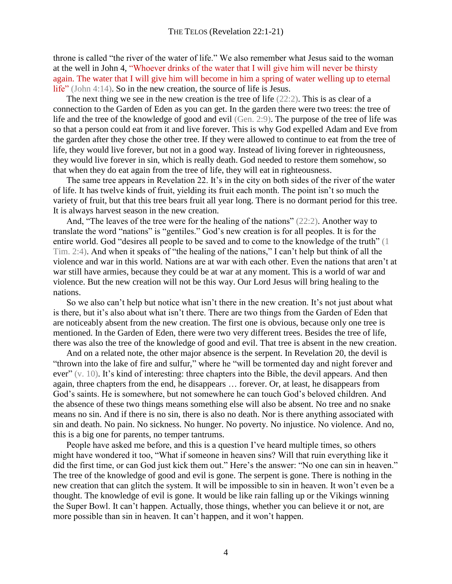throne is called "the river of the water of life." We also remember what Jesus said to the woman at the well in John 4, "Whoever drinks of the water that I will give him will never be thirsty again. The water that I will give him will become in him a spring of water welling up to eternal life" (John 4:14). So in the new creation, the source of life is Jesus.

The next thing we see in the new creation is the tree of life  $(22:2)$ . This is as clear of a connection to the Garden of Eden as you can get. In the garden there were two trees: the tree of life and the tree of the knowledge of good and evil (Gen. 2:9). The purpose of the tree of life was so that a person could eat from it and live forever. This is why God expelled Adam and Eve from the garden after they chose the other tree. If they were allowed to continue to eat from the tree of life, they would live forever, but not in a good way. Instead of living forever in righteousness, they would live forever in sin, which is really death. God needed to restore them somehow, so that when they do eat again from the tree of life, they will eat in righteousness.

The same tree appears in Revelation 22. It's in the city on both sides of the river of the water of life. It has twelve kinds of fruit, yielding its fruit each month. The point isn't so much the variety of fruit, but that this tree bears fruit all year long. There is no dormant period for this tree. It is always harvest season in the new creation.

And, "The leaves of the tree were for the healing of the nations" (22:2). Another way to translate the word "nations" is "gentiles." God's new creation is for all peoples. It is for the entire world. God "desires all people to be saved and to come to the knowledge of the truth" (1 Tim. 2:4). And when it speaks of "the healing of the nations," I can't help but think of all the violence and war in this world. Nations are at war with each other. Even the nations that aren't at war still have armies, because they could be at war at any moment. This is a world of war and violence. But the new creation will not be this way. Our Lord Jesus will bring healing to the nations.

So we also can't help but notice what isn't there in the new creation. It's not just about what is there, but it's also about what isn't there. There are two things from the Garden of Eden that are noticeably absent from the new creation. The first one is obvious, because only one tree is mentioned. In the Garden of Eden, there were two very different trees. Besides the tree of life, there was also the tree of the knowledge of good and evil. That tree is absent in the new creation.

And on a related note, the other major absence is the serpent. In Revelation 20, the devil is "thrown into the lake of fire and sulfur," where he "will be tormented day and night forever and ever" (v. 10). It's kind of interesting: three chapters into the Bible, the devil appears. And then again, three chapters from the end, he disappears … forever. Or, at least, he disappears from God's saints. He is somewhere, but not somewhere he can touch God's beloved children. And the absence of these two things means something else will also be absent. No tree and no snake means no sin. And if there is no sin, there is also no death. Nor is there anything associated with sin and death. No pain. No sickness. No hunger. No poverty. No injustice. No violence. And no, this is a big one for parents, no temper tantrums.

People have asked me before, and this is a question I've heard multiple times, so others might have wondered it too, "What if someone in heaven sins? Will that ruin everything like it did the first time, or can God just kick them out." Here's the answer: "No one can sin in heaven." The tree of the knowledge of good and evil is gone. The serpent is gone. There is nothing in the new creation that can glitch the system. It will be impossible to sin in heaven. It won't even be a thought. The knowledge of evil is gone. It would be like rain falling up or the Vikings winning the Super Bowl. It can't happen. Actually, those things, whether you can believe it or not, are more possible than sin in heaven. It can't happen, and it won't happen.